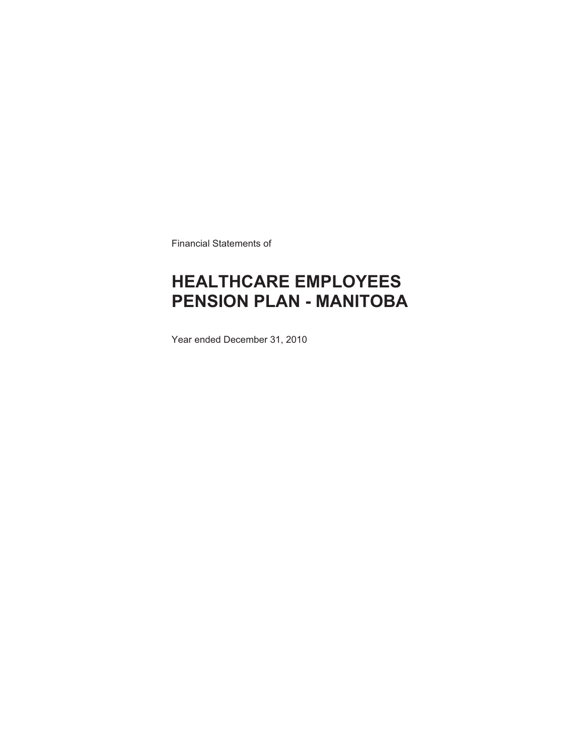Financial Statements of

# **HEALTHCARE EMPLOYEES PENSION PLAN - MANITOBA**

Year ended December 31, 2010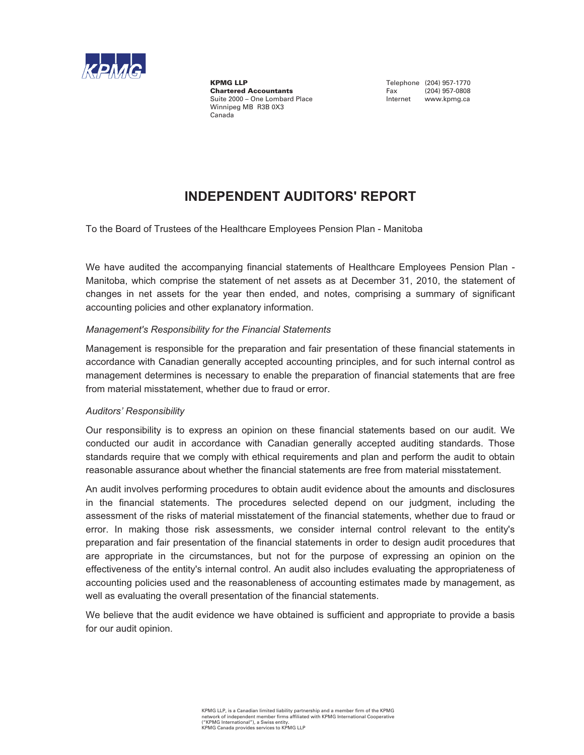

**KPMG LLP**<br> **Chartered Accountants**<br> **Chartered Accountants**<br>
Tax (204) 957-0808 **Chartered Accountants** Fax Fax<br>
Suite 2000 – One Lombard Place Fax Fax Fatern Winnipeg MB R3B 0X3 Canada

Internet www.kpmg.ca

## **INDEPENDENT AUDITORS' REPORT**

To the Board of Trustees of the Healthcare Employees Pension Plan - Manitoba

We have audited the accompanying financial statements of Healthcare Employees Pension Plan - Manitoba, which comprise the statement of net assets as at December 31, 2010, the statement of changes in net assets for the year then ended, and notes, comprising a summary of significant accounting policies and other explanatory information.

## *Management's Responsibility for the Financial Statements*

Management is responsible for the preparation and fair presentation of these financial statements in accordance with Canadian generally accepted accounting principles, and for such internal control as management determines is necessary to enable the preparation of financial statements that are free from material misstatement, whether due to fraud or error.

### *Auditors' Responsibility*

Our responsibility is to express an opinion on these financial statements based on our audit. We conducted our audit in accordance with Canadian generally accepted auditing standards. Those standards require that we comply with ethical requirements and plan and perform the audit to obtain reasonable assurance about whether the financial statements are free from material misstatement.

An audit involves performing procedures to obtain audit evidence about the amounts and disclosures in the financial statements. The procedures selected depend on our judgment, including the assessment of the risks of material misstatement of the financial statements, whether due to fraud or error. In making those risk assessments, we consider internal control relevant to the entity's preparation and fair presentation of the financial statements in order to design audit procedures that are appropriate in the circumstances, but not for the purpose of expressing an opinion on the effectiveness of the entity's internal control. An audit also includes evaluating the appropriateness of accounting policies used and the reasonableness of accounting estimates made by management, as well as evaluating the overall presentation of the financial statements.

We believe that the audit evidence we have obtained is sufficient and appropriate to provide a basis for our audit opinion.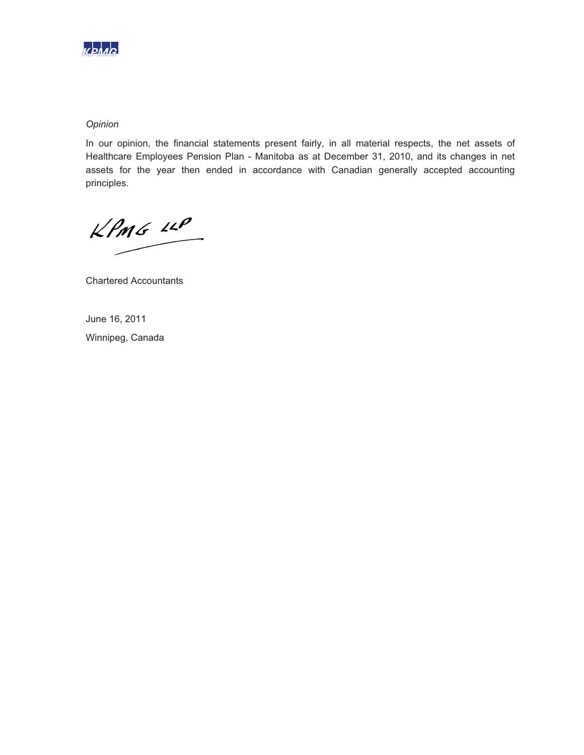

## *Opinion*

In our opinion, the financial statements present fairly, in all material respects, the net assets of Healthcare Employees Pension Plan - Manitoba as at December 31, 2010, and its changes in net assets for the year then ended in accordance with Canadian generally accepted accounting principles.

 $KPMG$  14P

Chartered Accountants

June 16, 2011 Winnipeg, Canada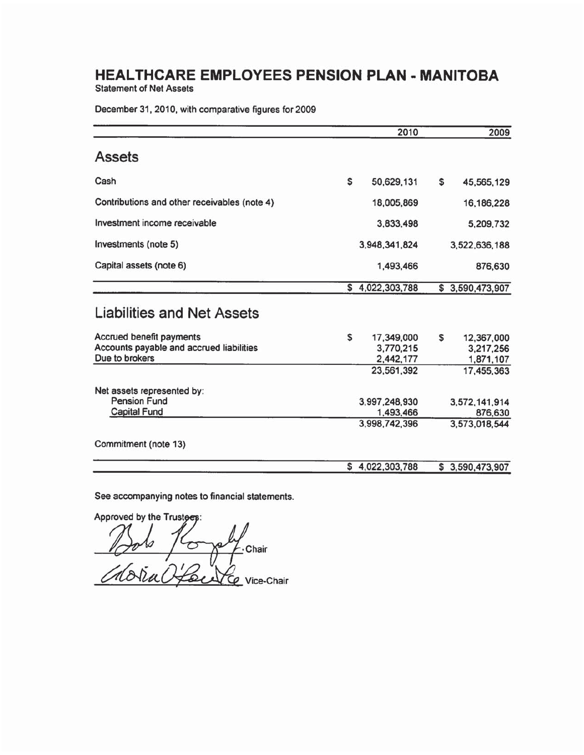**Statement of Net Assets** 

December 31, 2010, with comparative figures for 2009

|                                                                                        |   | 2010                                     |   | 2009                                   |
|----------------------------------------------------------------------------------------|---|------------------------------------------|---|----------------------------------------|
| <b>Assets</b>                                                                          |   |                                          |   |                                        |
| Cash                                                                                   | S | 50,629,131                               | S | 45,565,129                             |
| Contributions and other receivables (note 4)                                           |   | 18,005,869                               |   | 16,186,228                             |
| Investment income receivable                                                           |   | 3,833,498                                |   | 5,209,732                              |
| Investments (note 5)                                                                   |   | 3,948,341,824                            |   | 3,522,636,188                          |
| Capital assets (note 6)                                                                |   | 1,493,466                                |   | 876,630                                |
|                                                                                        |   | \$4,022,303,788                          |   | \$3,590,473,907                        |
| <b>Liabilities and Net Assets</b>                                                      |   |                                          |   |                                        |
| Accrued benefit payments<br>Accounts payable and accrued liabilities<br>Due to brokers | S | 17,349,000<br>3,770,215<br>2,442,177     | S | 12,367,000<br>3,217,256<br>1,871,107   |
| Net assets represented by:<br><b>Pension Fund</b><br><b>Capital Fund</b>               |   | 23,561,392<br>3,997,248,930<br>1,493,466 |   | 17,455,363<br>3,572,141,914<br>876,630 |
| Commitment (note 13)                                                                   |   | 3,998,742,396                            |   | 3,573,018,544                          |
|                                                                                        |   | \$4.022.303.788                          |   | \$3.590.473.907                        |

See accompanying notes to financial statements.

Approved by the Trustees:

で  $\cdot$ Chair Ce Vice-Chair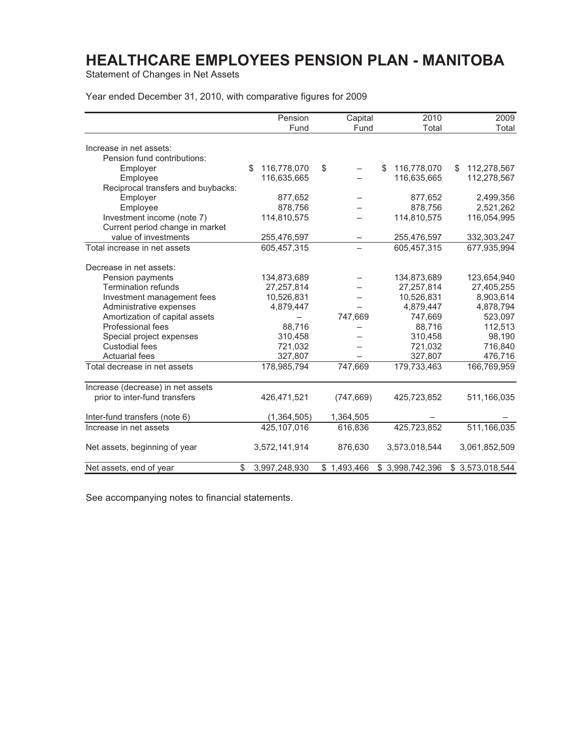Statement of Changes in Net Assets

Year ended December 31, 2010, with comparative figures for 2009

|                                    | Pension<br>Fund     | Capital<br>Fund | 2010<br>Total     | 2009<br>Total     |
|------------------------------------|---------------------|-----------------|-------------------|-------------------|
| Increase in net assets:            |                     |                 |                   |                   |
| Pension fund contributions:        |                     |                 |                   |                   |
|                                    | \$<br>116,778,070   | \$              | \$<br>116,778,070 | \$<br>112,278,567 |
| Employer                           | 116,635,665         |                 | 116,635,665       | 112,278,567       |
| Employee                           |                     |                 |                   |                   |
| Reciprocal transfers and buybacks: |                     |                 |                   |                   |
| Employer                           | 877,652             |                 | 877,652           | 2,499,356         |
| Employee                           | 878,756             |                 | 878,756           | 2,521,262         |
| Investment income (note 7)         | 114,810,575         |                 | 114,810,575       | 116,054,995       |
| Current period change in market    |                     |                 |                   |                   |
| value of investments               | 255,476,597         |                 | 255,476,597       | 332,303,247       |
| Total increase in net assets       | 605,457,315         |                 | 605,457,315       | 677,935,994       |
| Decrease in net assets:            |                     |                 |                   |                   |
| Pension payments                   | 134,873,689         |                 | 134,873,689       | 123,654,940       |
| <b>Termination refunds</b>         | 27,257,814          |                 | 27,257,814        | 27,405,255        |
| Investment management fees         | 10,526,831          |                 | 10,526,831        | 8,903,614         |
| Administrative expenses            | 4,879,447           |                 | 4,879,447         | 4,878,794         |
| Amortization of capital assets     |                     | 747,669         | 747,669           | 523,097           |
| Professional fees                  | 88,716              |                 | 88,716            | 112,513           |
| Special project expenses           | 310,458             |                 | 310,458           | 98,190            |
| <b>Custodial fees</b>              | 721,032             |                 | 721,032           | 716,840           |
| <b>Actuarial fees</b>              | 327,807             |                 | 327,807           | 476,716           |
| Total decrease in net assets       | 178,985,794         | 747,669         | 179,733,463       | 166,769,959       |
| Increase (decrease) in net assets  |                     |                 |                   |                   |
| prior to inter-fund transfers      | 426,471,521         | (747, 669)      | 425,723,852       | 511,166,035       |
| Inter-fund transfers (note 6)      | (1, 364, 505)       | 1,364,505       |                   |                   |
| Increase in net assets             | 425,107,016         | 616,836         | 425,723,852       | 511,166,035       |
| Net assets, beginning of year      | 3,572,141,914       | 876,630         | 3,573,018,544     | 3,061,852,509     |
| Net assets, end of year            | \$<br>3,997,248,930 | \$1,493,466     | \$3,998,742,396   | \$3,573,018,544   |

See accompanying notes to financial statements.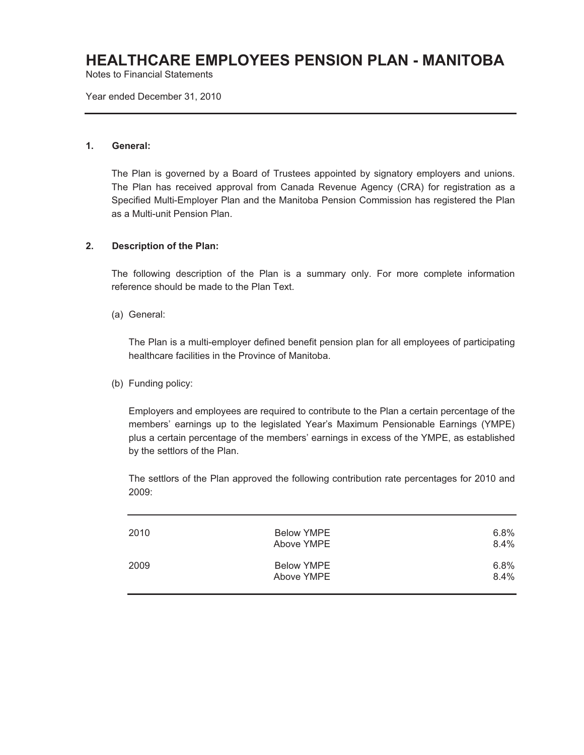Notes to Financial Statements

Year ended December 31, 2010

### **1. General:**

The Plan is governed by a Board of Trustees appointed by signatory employers and unions. The Plan has received approval from Canada Revenue Agency (CRA) for registration as a Specified Multi-Employer Plan and the Manitoba Pension Commission has registered the Plan as a Multi-unit Pension Plan.

## **2. Description of the Plan:**

The following description of the Plan is a summary only. For more complete information reference should be made to the Plan Text.

(a) General:

The Plan is a multi-employer defined benefit pension plan for all employees of participating healthcare facilities in the Province of Manitoba.

(b) Funding policy:

Employers and employees are required to contribute to the Plan a certain percentage of the members' earnings up to the legislated Year's Maximum Pensionable Earnings (YMPE) plus a certain percentage of the members' earnings in excess of the YMPE, as established by the settlors of the Plan.

The settlors of the Plan approved the following contribution rate percentages for 2010 and 2009:

| 2010 | <b>Below YMPE</b> | $6.8\%$ |
|------|-------------------|---------|
|      | Above YMPE        | $8.4\%$ |
| 2009 | <b>Below YMPE</b> | 6.8%    |
|      | Above YMPE        | $8.4\%$ |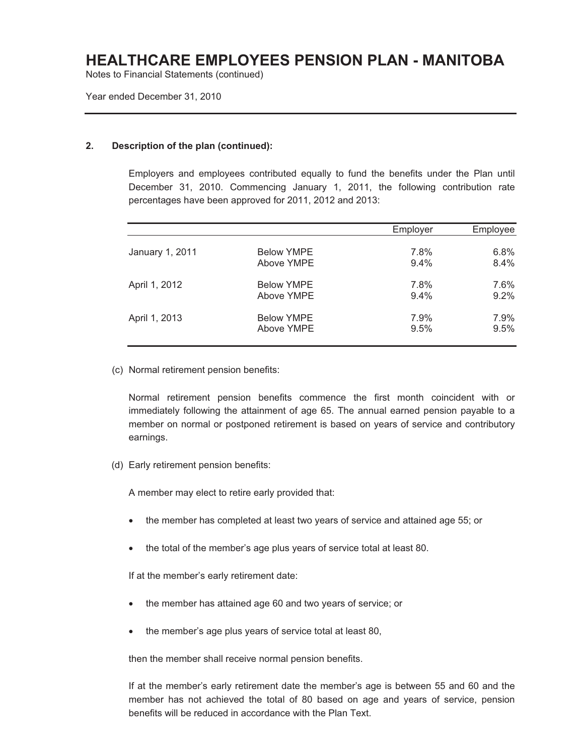Notes to Financial Statements (continued)

Year ended December 31, 2010

### **2. Description of the plan (continued):**

Employers and employees contributed equally to fund the benefits under the Plan until December 31, 2010. Commencing January 1, 2011, the following contribution rate percentages have been approved for 2011, 2012 and 2013:

|                 |                   | Employer | Employee |
|-----------------|-------------------|----------|----------|
| January 1, 2011 | <b>Below YMPE</b> | 7.8%     | 6.8%     |
|                 | Above YMPE        | 9.4%     | 8.4%     |
| April 1, 2012   | <b>Below YMPE</b> | 7.8%     | 7.6%     |
|                 | Above YMPE        | 9.4%     | 9.2%     |
| April 1, 2013   | <b>Below YMPE</b> | 7.9%     | 7.9%     |
|                 | Above YMPE        | 9.5%     | 9.5%     |

(c) Normal retirement pension benefits:

Normal retirement pension benefits commence the first month coincident with or immediately following the attainment of age 65. The annual earned pension payable to a member on normal or postponed retirement is based on years of service and contributory earnings.

(d) Early retirement pension benefits:

A member may elect to retire early provided that:

- the member has completed at least two years of service and attained age 55; or
- the total of the member's age plus years of service total at least 80.

If at the member's early retirement date:

- the member has attained age 60 and two years of service; or
- the member's age plus years of service total at least 80,

then the member shall receive normal pension benefits.

If at the member's early retirement date the member's age is between 55 and 60 and the member has not achieved the total of 80 based on age and years of service, pension benefits will be reduced in accordance with the Plan Text.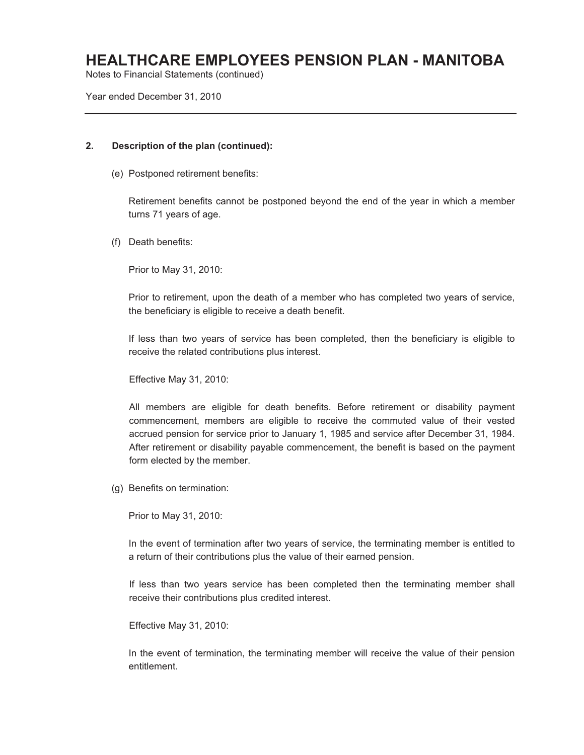Notes to Financial Statements (continued)

Year ended December 31, 2010

### **2. Description of the plan (continued):**

(e) Postponed retirement benefits:

Retirement benefits cannot be postponed beyond the end of the year in which a member turns 71 years of age.

(f) Death benefits:

Prior to May 31, 2010:

Prior to retirement, upon the death of a member who has completed two years of service, the beneficiary is eligible to receive a death benefit.

If less than two years of service has been completed, then the beneficiary is eligible to receive the related contributions plus interest.

Effective May 31, 2010:

All members are eligible for death benefits. Before retirement or disability payment commencement, members are eligible to receive the commuted value of their vested accrued pension for service prior to January 1, 1985 and service after December 31, 1984. After retirement or disability payable commencement, the benefit is based on the payment form elected by the member.

(g) Benefits on termination:

Prior to May 31, 2010:

In the event of termination after two years of service, the terminating member is entitled to a return of their contributions plus the value of their earned pension.

If less than two years service has been completed then the terminating member shall receive their contributions plus credited interest.

Effective May 31, 2010:

In the event of termination, the terminating member will receive the value of their pension entitlement.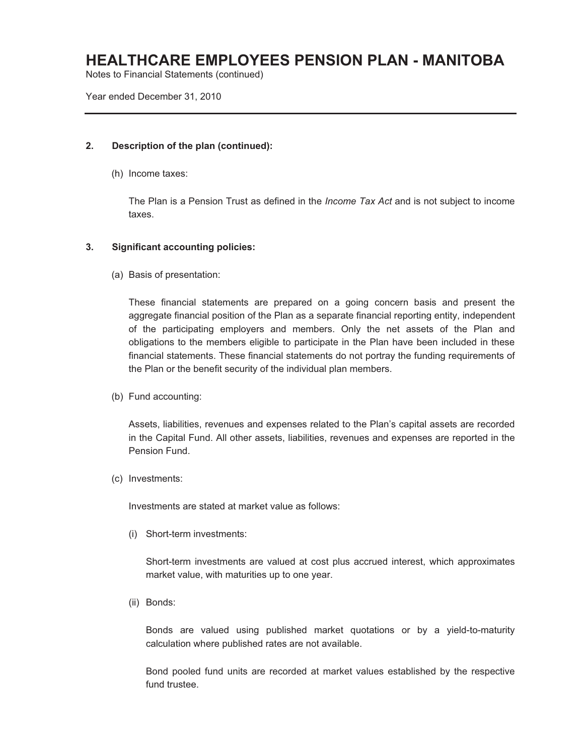Notes to Financial Statements (continued)

Year ended December 31, 2010

### **2. Description of the plan (continued):**

(h) Income taxes:

The Plan is a Pension Trust as defined in the *Income Tax Act* and is not subject to income taxes.

## **3. Significant accounting policies:**

(a) Basis of presentation:

These financial statements are prepared on a going concern basis and present the aggregate financial position of the Plan as a separate financial reporting entity, independent of the participating employers and members. Only the net assets of the Plan and obligations to the members eligible to participate in the Plan have been included in these financial statements. These financial statements do not portray the funding requirements of the Plan or the benefit security of the individual plan members.

(b) Fund accounting:

Assets, liabilities, revenues and expenses related to the Plan's capital assets are recorded in the Capital Fund. All other assets, liabilities, revenues and expenses are reported in the Pension Fund.

(c) Investments:

Investments are stated at market value as follows:

(i) Short-term investments:

Short-term investments are valued at cost plus accrued interest, which approximates market value, with maturities up to one year.

(ii) Bonds:

Bonds are valued using published market quotations or by a yield-to-maturity calculation where published rates are not available.

Bond pooled fund units are recorded at market values established by the respective fund trustee.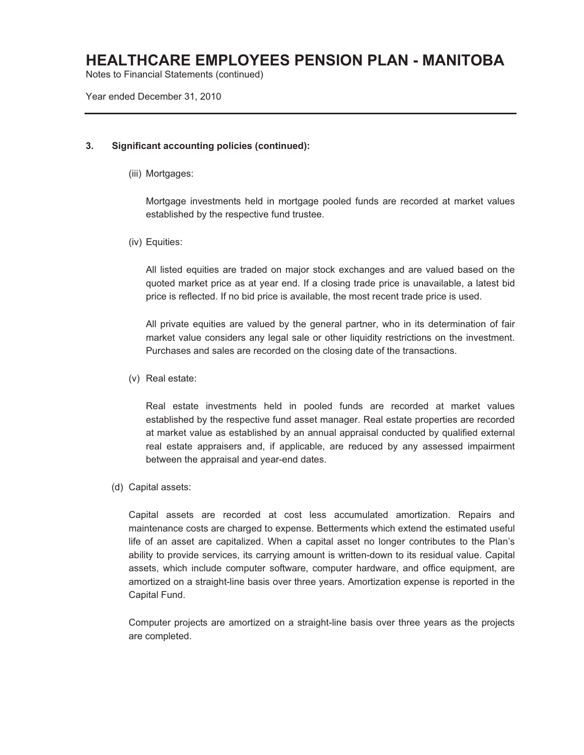Notes to Financial Statements (continued)

Year ended December 31, 2010

### **3. Significant accounting policies (continued):**

(iii) Mortgages:

Mortgage investments held in mortgage pooled funds are recorded at market values established by the respective fund trustee.

(iv) Equities:

All listed equities are traded on major stock exchanges and are valued based on the quoted market price as at year end. If a closing trade price is unavailable, a latest bid price is reflected. If no bid price is available, the most recent trade price is used.

All private equities are valued by the general partner, who in its determination of fair market value considers any legal sale or other liquidity restrictions on the investment. Purchases and sales are recorded on the closing date of the transactions.

(v) Real estate:

Real estate investments held in pooled funds are recorded at market values established by the respective fund asset manager. Real estate properties are recorded at market value as established by an annual appraisal conducted by qualified external real estate appraisers and, if applicable, are reduced by any assessed impairment between the appraisal and year-end dates.

(d) Capital assets:

Capital assets are recorded at cost less accumulated amortization. Repairs and maintenance costs are charged to expense. Betterments which extend the estimated useful life of an asset are capitalized. When a capital asset no longer contributes to the Plan's ability to provide services, its carrying amount is written-down to its residual value. Capital assets, which include computer software, computer hardware, and office equipment, are amortized on a straight-line basis over three years. Amortization expense is reported in the Capital Fund.

Computer projects are amortized on a straight-line basis over three years as the projects are completed.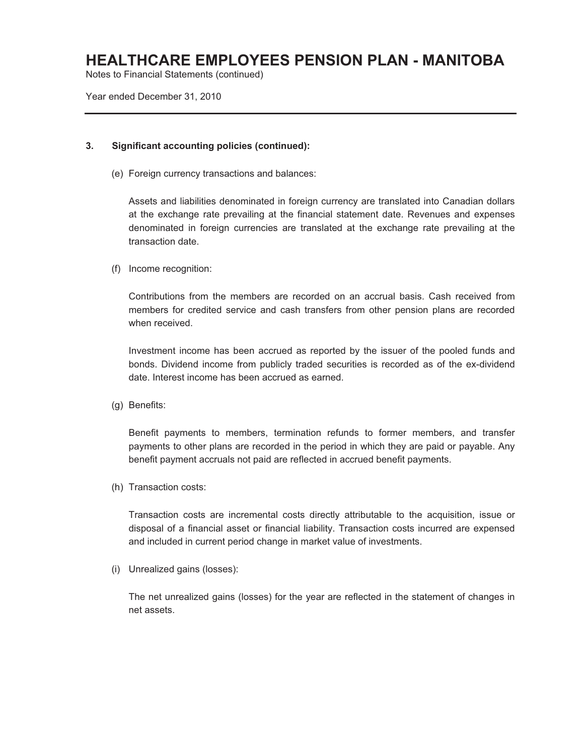Notes to Financial Statements (continued)

Year ended December 31, 2010

### **3. Significant accounting policies (continued):**

(e) Foreign currency transactions and balances:

Assets and liabilities denominated in foreign currency are translated into Canadian dollars at the exchange rate prevailing at the financial statement date. Revenues and expenses denominated in foreign currencies are translated at the exchange rate prevailing at the transaction date.

(f) Income recognition:

Contributions from the members are recorded on an accrual basis. Cash received from members for credited service and cash transfers from other pension plans are recorded when received.

Investment income has been accrued as reported by the issuer of the pooled funds and bonds. Dividend income from publicly traded securities is recorded as of the ex-dividend date. Interest income has been accrued as earned.

(g) Benefits:

Benefit payments to members, termination refunds to former members, and transfer payments to other plans are recorded in the period in which they are paid or payable. Any benefit payment accruals not paid are reflected in accrued benefit payments.

(h) Transaction costs:

Transaction costs are incremental costs directly attributable to the acquisition, issue or disposal of a financial asset or financial liability. Transaction costs incurred are expensed and included in current period change in market value of investments.

(i) Unrealized gains (losses):

The net unrealized gains (losses) for the year are reflected in the statement of changes in net assets.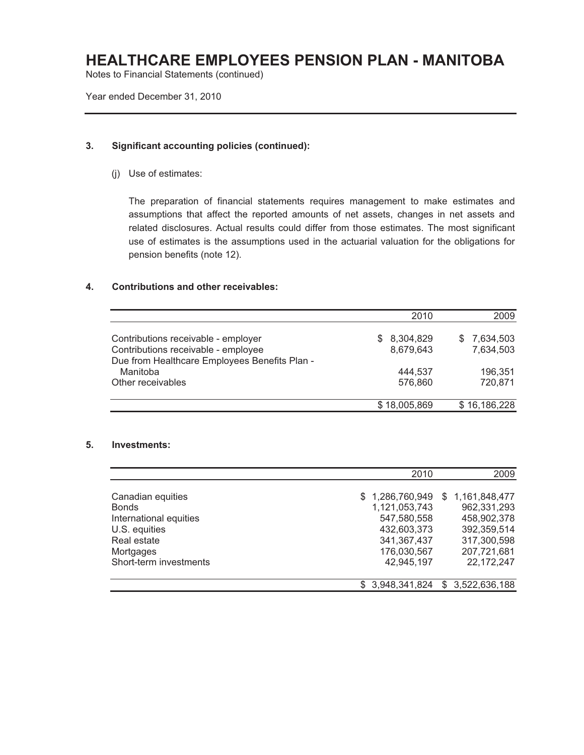Notes to Financial Statements (continued)

Year ended December 31, 2010

### **3. Significant accounting policies (continued):**

(j) Use of estimates:

The preparation of financial statements requires management to make estimates and assumptions that affect the reported amounts of net assets, changes in net assets and related disclosures. Actual results could differ from those estimates. The most significant use of estimates is the assumptions used in the actuarial valuation for the obligations for pension benefits (note 12).

## **4. Contributions and other receivables:**

|                                               | 2010            | 2009            |
|-----------------------------------------------|-----------------|-----------------|
|                                               |                 |                 |
| Contributions receivable - employer           | 8,304,829<br>S. | 7,634,503<br>S. |
| Contributions receivable - employee           | 8,679,643       | 7,634,503       |
| Due from Healthcare Employees Benefits Plan - |                 |                 |
| Manitoba                                      | 444,537         | 196,351         |
| Other receivables                             | 576,860         | 720,871         |
|                                               |                 |                 |
|                                               | \$18,005,869    | \$16,186,228    |

### **5. Investments:**

|                        | 2010                | 2009            |
|------------------------|---------------------|-----------------|
|                        |                     |                 |
| Canadian equities      | \$1,286,760,949     | \$1,161,848,477 |
| <b>Bonds</b>           | 1,121,053,743       | 962,331,293     |
| International equities | 547,580,558         | 458,902,378     |
| U.S. equities          | 432,603,373         | 392,359,514     |
| Real estate            | 341,367,437         | 317,300,598     |
| Mortgages              | 176,030,567         | 207,721,681     |
| Short-term investments | 42,945,197          | 22,172,247      |
|                        |                     |                 |
|                        | 3.948.341.824<br>S. | \$3,522,636,188 |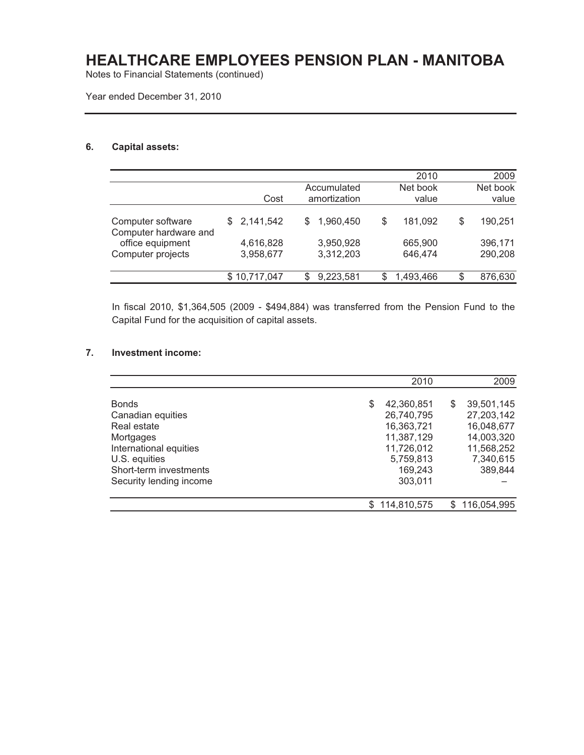Notes to Financial Statements (continued)

Year ended December 31, 2010

## **6. Capital assets:**

|              |                | 2010          |         | 2009      |
|--------------|----------------|---------------|---------|-----------|
|              | Accumulated    | Net book      |         | Net book  |
| Cost         | amortization   | value         |         | value     |
|              |                |               |         |           |
| 2,141,542    | 1,960,450<br>S | 181,092<br>\$ | \$      | 190,251   |
|              |                |               |         |           |
|              |                |               |         | 396,171   |
| 3,958,677    | 3,312,203      | 646,474       |         | 290,208   |
|              |                |               |         |           |
| \$10,717,047 | 9,223,581<br>S | S             | \$.     | 876,630   |
|              | 4,616,828      | 3,950,928     | 665,900 | 1,493,466 |

In fiscal 2010, \$1,364,505 (2009 - \$494,884) was transferred from the Pension Fund to the Capital Fund for the acquisition of capital assets.

## **7. Investment income:**

|                                         |   | 2010                     |   | 2009                     |
|-----------------------------------------|---|--------------------------|---|--------------------------|
| <b>Bonds</b>                            | S | 42,360,851               | S | 39,501,145               |
| Canadian equities<br>Real estate        |   | 26,740,795<br>16,363,721 |   | 27,203,142<br>16,048,677 |
| Mortgages                               |   | 11,387,129               |   | 14,003,320               |
| International equities                  |   | 11,726,012               |   | 11,568,252               |
| U.S. equities<br>Short-term investments |   | 5,759,813<br>169.243     |   | 7,340,615<br>389,844     |
| Security lending income                 |   | 303,011                  |   |                          |
|                                         |   | \$114,810,575            |   | \$116,054,995            |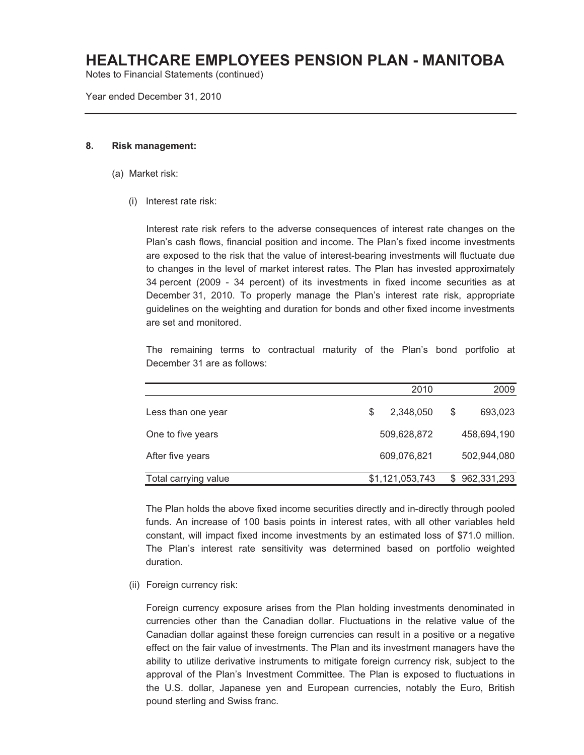Notes to Financial Statements (continued)

Year ended December 31, 2010

### **8. Risk management:**

- (a) Market risk:
	- (i) Interest rate risk:

Interest rate risk refers to the adverse consequences of interest rate changes on the Plan's cash flows, financial position and income. The Plan's fixed income investments are exposed to the risk that the value of interest-bearing investments will fluctuate due to changes in the level of market interest rates. The Plan has invested approximately 34 percent (2009 - 34 percent) of its investments in fixed income securities as at December 31, 2010. To properly manage the Plan's interest rate risk, appropriate guidelines on the weighting and duration for bonds and other fixed income investments are set and monitored.

The remaining terms to contractual maturity of the Plan's bond portfolio at December 31 are as follows:

|                      | 2010            |    | 2009        |
|----------------------|-----------------|----|-------------|
| Less than one year   | \$<br>2,348,050 | \$ | 693,023     |
| One to five years    | 509,628,872     |    | 458,694,190 |
| After five years     | 609,076,821     |    | 502,944,080 |
| Total carrying value | \$1,121,053,743 | S. | 962,331,293 |

The Plan holds the above fixed income securities directly and in-directly through pooled funds. An increase of 100 basis points in interest rates, with all other variables held constant, will impact fixed income investments by an estimated loss of \$71.0 million. The Plan's interest rate sensitivity was determined based on portfolio weighted duration.

(ii) Foreign currency risk:

Foreign currency exposure arises from the Plan holding investments denominated in currencies other than the Canadian dollar. Fluctuations in the relative value of the Canadian dollar against these foreign currencies can result in a positive or a negative effect on the fair value of investments. The Plan and its investment managers have the ability to utilize derivative instruments to mitigate foreign currency risk, subject to the approval of the Plan's Investment Committee. The Plan is exposed to fluctuations in the U.S. dollar, Japanese yen and European currencies, notably the Euro, British pound sterling and Swiss franc.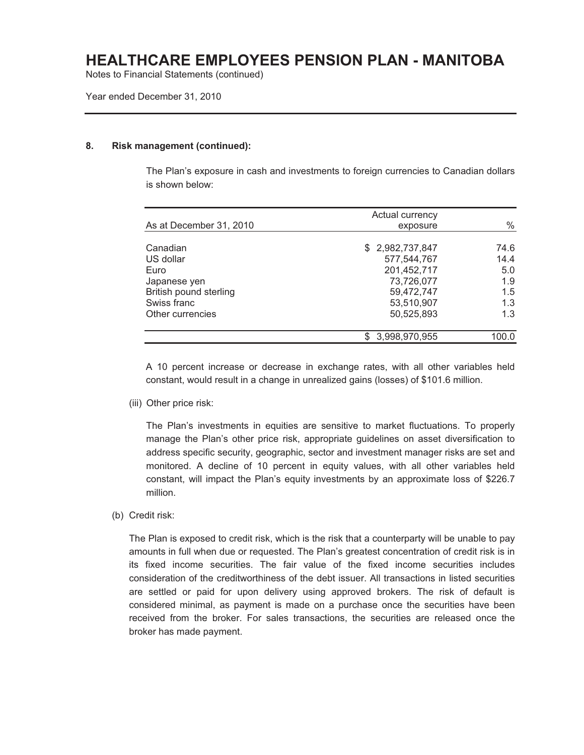Notes to Financial Statements (continued)

Year ended December 31, 2010

### **8. Risk management (continued):**

The Plan's exposure in cash and investments to foreign currencies to Canadian dollars is shown below:

|                         | Actual currency  |       |
|-------------------------|------------------|-------|
| As at December 31, 2010 | exposure         | $\%$  |
| Canadian                | \$2,982,737,847  | 74.6  |
| US dollar               | 577,544,767      | 14.4  |
| Euro                    | 201,452,717      | 5.0   |
| Japanese yen            | 73,726,077       | 1.9   |
| British pound sterling  | 59,472,747       | 1.5   |
| Swiss franc             | 53,510,907       | 1.3   |
| Other currencies        | 50,525,893       | 1.3   |
|                         | \$ 3,998,970,955 | 100 0 |

A 10 percent increase or decrease in exchange rates, with all other variables held constant, would result in a change in unrealized gains (losses) of \$101.6 million.

(iii) Other price risk:

The Plan's investments in equities are sensitive to market fluctuations. To properly manage the Plan's other price risk, appropriate guidelines on asset diversification to address specific security, geographic, sector and investment manager risks are set and monitored. A decline of 10 percent in equity values, with all other variables held constant, will impact the Plan's equity investments by an approximate loss of \$226.7 million.

(b) Credit risk:

The Plan is exposed to credit risk, which is the risk that a counterparty will be unable to pay amounts in full when due or requested. The Plan's greatest concentration of credit risk is in its fixed income securities. The fair value of the fixed income securities includes consideration of the creditworthiness of the debt issuer. All transactions in listed securities are settled or paid for upon delivery using approved brokers. The risk of default is considered minimal, as payment is made on a purchase once the securities have been received from the broker. For sales transactions, the securities are released once the broker has made payment.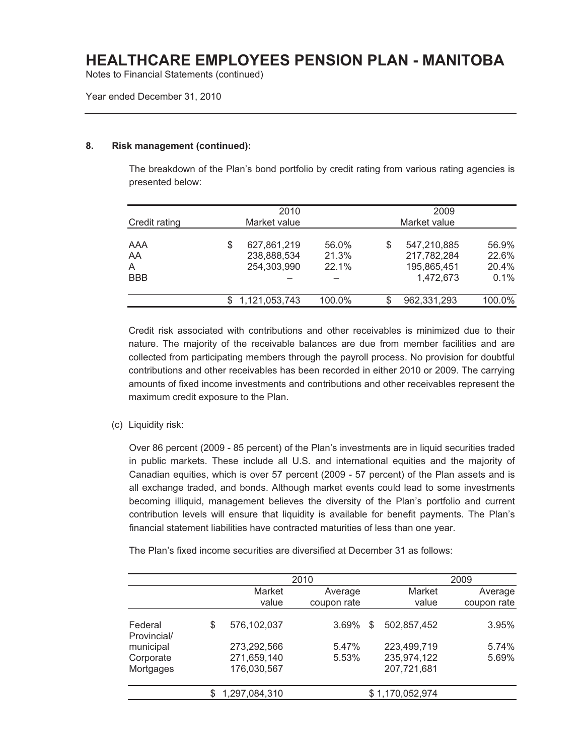Notes to Financial Statements (continued)

Year ended December 31, 2010

### **8. Risk management (continued):**

The breakdown of the Plan's bond portfolio by credit rating from various rating agencies is presented below:

| Credit rating                | 2010<br>2009<br>Market value<br>Market value |                         |    |                                                        |                                 |
|------------------------------|----------------------------------------------|-------------------------|----|--------------------------------------------------------|---------------------------------|
| AAA<br>AA<br>A<br><b>BBB</b> | 627,861,219<br>238,888,534<br>254,303,990    | 56.0%<br>21.3%<br>22.1% | S  | 547,210,885<br>217,782,284<br>195,865,451<br>1,472,673 | 56.9%<br>22.6%<br>20.4%<br>0.1% |
|                              | 1,121,053,743                                | 100.0%                  | \$ | 962,331,293                                            | 100.0%                          |

Credit risk associated with contributions and other receivables is minimized due to their nature. The majority of the receivable balances are due from member facilities and are collected from participating members through the payroll process. No provision for doubtful contributions and other receivables has been recorded in either 2010 or 2009. The carrying amounts of fixed income investments and contributions and other receivables represent the maximum credit exposure to the Plan.

## (c) Liquidity risk:

Over 86 percent (2009 - 85 percent) of the Plan's investments are in liquid securities traded in public markets. These include all U.S. and international equities and the majority of Canadian equities, which is over 57 percent (2009 - 57 percent) of the Plan assets and is all exchange traded, and bonds. Although market events could lead to some investments becoming illiquid, management believes the diversity of the Plan's portfolio and current contribution levels will ensure that liquidity is available for benefit payments. The Plan's financial statement liabilities have contracted maturities of less than one year.

The Plan's fixed income securities are diversified at December 31 as follows:

|                                     | 2010                                      |                        |   |                                           | 2009                   |
|-------------------------------------|-------------------------------------------|------------------------|---|-------------------------------------------|------------------------|
|                                     | Market<br>value                           | Average<br>coupon rate |   | Market<br>value                           | Average<br>coupon rate |
| Federal<br>Provincial/              | \$<br>576,102,037                         | 3.69%                  | S | 502,857,452                               | $3.95\%$               |
| municipal<br>Corporate<br>Mortgages | 273,292,566<br>271,659,140<br>176,030,567 | 5.47%<br>5.53%         |   | 223,499,719<br>235,974,122<br>207,721,681 | 5.74%<br>5.69%         |
|                                     | 1,297,084,310                             |                        |   | \$1,170,052,974                           |                        |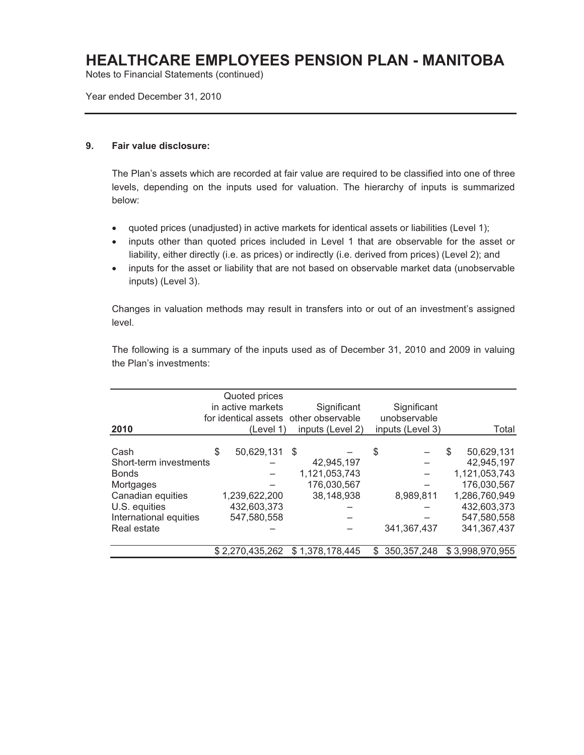Notes to Financial Statements (continued)

Year ended December 31, 2010

### **9. Fair value disclosure:**

The Plan's assets which are recorded at fair value are required to be classified into one of three levels, depending on the inputs used for valuation. The hierarchy of inputs is summarized below:

- quoted prices (unadjusted) in active markets for identical assets or liabilities (Level 1);
- inputs other than quoted prices included in Level 1 that are observable for the asset or liability, either directly (i.e. as prices) or indirectly (i.e. derived from prices) (Level 2); and
- inputs for the asset or liability that are not based on observable market data (unobservable inputs) (Level 3).

Changes in valuation methods may result in transfers into or out of an investment's assigned level.

|                        | Quoted prices<br>in active markets | Significant                                               |    | Significant                      |   |                 |
|------------------------|------------------------------------|-----------------------------------------------------------|----|----------------------------------|---|-----------------|
| 2010                   | (Level 1)                          | for identical assets other observable<br>inputs (Level 2) |    | unobservable<br>inputs (Level 3) |   | Total           |
|                        |                                    |                                                           |    |                                  |   |                 |
| Cash                   | \$<br>50,629,131                   | -S                                                        | \$ |                                  | S | 50,629,131      |
| Short-term investments |                                    | 42,945,197                                                |    |                                  |   | 42,945,197      |
| <b>Bonds</b>           |                                    | 1,121,053,743                                             |    |                                  |   | 1,121,053,743   |
| Mortgages              |                                    | 176,030,567                                               |    |                                  |   | 176,030,567     |
| Canadian equities      | 1,239,622,200                      | 38,148,938                                                |    | 8,989,811                        |   | 1,286,760,949   |
| U.S. equities          | 432,603,373                        |                                                           |    |                                  |   | 432,603,373     |
| International equities | 547,580,558                        |                                                           |    |                                  |   | 547,580,558     |
| Real estate            |                                    |                                                           |    | 341,367,437                      |   | 341,367,437     |
|                        |                                    |                                                           |    |                                  |   |                 |
|                        | \$2,270,435,262                    | \$1,378,178,445                                           | S  | 350, 357, 248                    |   | \$3,998,970,955 |

The following is a summary of the inputs used as of December 31, 2010 and 2009 in valuing the Plan's investments: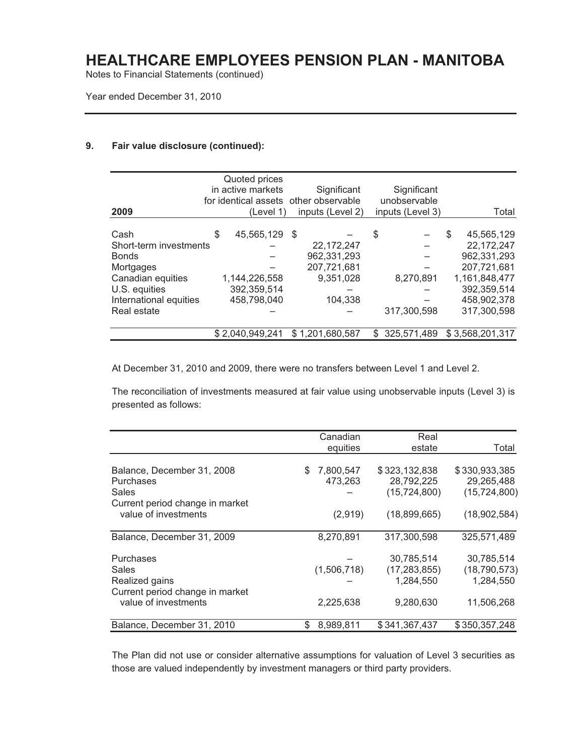Notes to Financial Statements (continued)

Year ended December 31, 2010

### **9. Fair value disclosure (continued):**

|                                                                                                                                            |   | Quoted prices<br>in active markets                        | Significant<br>for identical assets other observable                       |    | Significant<br>unobservable |                                                                                                                              |
|--------------------------------------------------------------------------------------------------------------------------------------------|---|-----------------------------------------------------------|----------------------------------------------------------------------------|----|-----------------------------|------------------------------------------------------------------------------------------------------------------------------|
| 2009                                                                                                                                       |   | (Level 1)                                                 | inputs (Level 2)                                                           |    | inputs (Level 3)            | Total                                                                                                                        |
| Cash<br>Short-term investments<br><b>Bonds</b><br>Mortgages<br>Canadian equities<br>U.S. equities<br>International equities<br>Real estate | S | 45,565,129<br>1,144,226,558<br>392,359,514<br>458,798,040 | - \$<br>22, 172, 247<br>962,331,293<br>207,721,681<br>9,351,028<br>104,338 | \$ | 8,270,891<br>317,300,598    | \$<br>45,565,129<br>22, 172, 247<br>962,331,293<br>207,721,681<br>1,161,848,477<br>392,359,514<br>458,902,378<br>317,300,598 |
|                                                                                                                                            |   | \$2,040,949,241                                           | \$1,201,680,587                                                            | S. | 325,571,489                 | \$3,568,201,317                                                                                                              |

At December 31, 2010 and 2009, there were no transfers between Level 1 and Level 2.

The reconciliation of investments measured at fair value using unobservable inputs (Level 3) is presented as follows:

|                                 | Canadian        | Real           |                |
|---------------------------------|-----------------|----------------|----------------|
|                                 | equities        | estate         | Total          |
|                                 |                 |                |                |
| Balance, December 31, 2008      | \$<br>7,800,547 | \$323,132,838  | \$330,933,385  |
| <b>Purchases</b>                | 473,263         | 28,792,225     | 29,265,488     |
| Sales                           |                 | (15, 724, 800) | (15, 724, 800) |
| Current period change in market |                 |                |                |
| value of investments            | (2,919)         | (18,899,665)   | (18,902,584)   |
| Balance, December 31, 2009      | 8,270,891       | 317,300,598    | 325,571,489    |
| Purchases                       |                 | 30,785,514     | 30,785,514     |
| <b>Sales</b>                    | (1,506,718)     | (17, 283, 855) | (18, 790, 573) |
| Realized gains                  |                 | 1,284,550      | 1,284,550      |
| Current period change in market |                 |                |                |
| value of investments            | 2,225,638       | 9,280,630      | 11,506,268     |
| Balance, December 31, 2010      | \$<br>8,989,811 | \$341,367,437  | \$350,357,248  |

The Plan did not use or consider alternative assumptions for valuation of Level 3 securities as those are valued independently by investment managers or third party providers.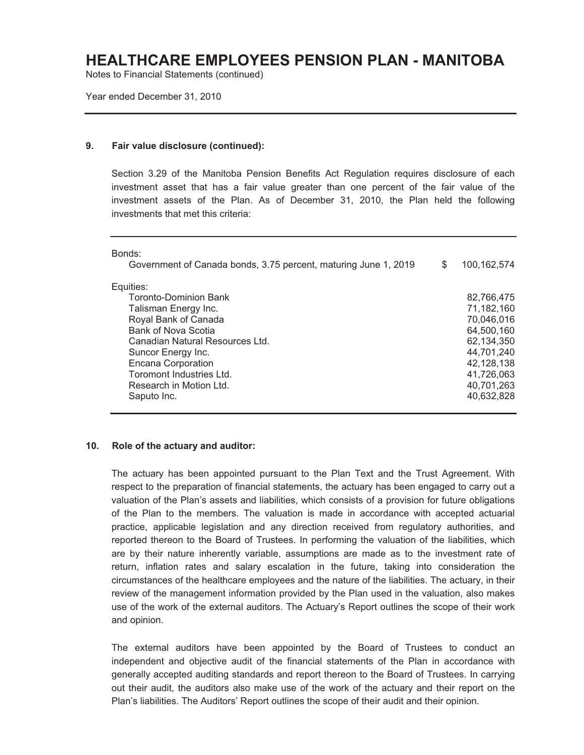Notes to Financial Statements (continued)

Year ended December 31, 2010

### **9. Fair value disclosure (continued):**

Section 3.29 of the Manitoba Pension Benefits Act Regulation requires disclosure of each investment asset that has a fair value greater than one percent of the fair value of the investment assets of the Plan. As of December 31, 2010, the Plan held the following investments that met this criteria:

| Bonds:<br>Government of Canada bonds, 3.75 percent, maturing June 1, 2019                                                                                                                                                                                     | \$<br>100, 162, 574                                                                                                        |
|---------------------------------------------------------------------------------------------------------------------------------------------------------------------------------------------------------------------------------------------------------------|----------------------------------------------------------------------------------------------------------------------------|
| Equities:<br><b>Toronto-Dominion Bank</b><br>Talisman Energy Inc.<br>Royal Bank of Canada<br>Bank of Nova Scotia<br>Canadian Natural Resources Ltd.<br>Suncor Energy Inc.<br><b>Encana Corporation</b><br>Toromont Industries Ltd.<br>Research in Motion Ltd. | 82,766,475<br>71,182,160<br>70.046.016<br>64.500.160<br>62.134.350<br>44.701.240<br>42,128,138<br>41.726.063<br>40,701,263 |
| Saputo Inc.                                                                                                                                                                                                                                                   | 40.632.828                                                                                                                 |

### **10. Role of the actuary and auditor:**

The actuary has been appointed pursuant to the Plan Text and the Trust Agreement. With respect to the preparation of financial statements, the actuary has been engaged to carry out a valuation of the Plan's assets and liabilities, which consists of a provision for future obligations of the Plan to the members. The valuation is made in accordance with accepted actuarial practice, applicable legislation and any direction received from regulatory authorities, and reported thereon to the Board of Trustees. In performing the valuation of the liabilities, which are by their nature inherently variable, assumptions are made as to the investment rate of return, inflation rates and salary escalation in the future, taking into consideration the circumstances of the healthcare employees and the nature of the liabilities. The actuary, in their review of the management information provided by the Plan used in the valuation, also makes use of the work of the external auditors. The Actuary's Report outlines the scope of their work and opinion.

The external auditors have been appointed by the Board of Trustees to conduct an independent and objective audit of the financial statements of the Plan in accordance with generally accepted auditing standards and report thereon to the Board of Trustees. In carrying out their audit, the auditors also make use of the work of the actuary and their report on the Plan's liabilities. The Auditors' Report outlines the scope of their audit and their opinion.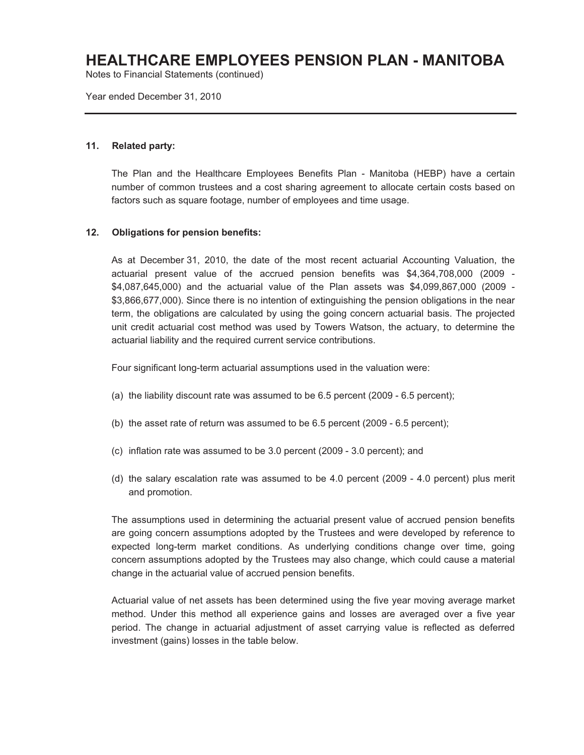Notes to Financial Statements (continued)

Year ended December 31, 2010

### **11. Related party:**

The Plan and the Healthcare Employees Benefits Plan - Manitoba (HEBP) have a certain number of common trustees and a cost sharing agreement to allocate certain costs based on factors such as square footage, number of employees and time usage.

### **12. Obligations for pension benefits:**

As at December 31, 2010, the date of the most recent actuarial Accounting Valuation, the actuarial present value of the accrued pension benefits was \$4,364,708,000 (2009 - \$4,087,645,000) and the actuarial value of the Plan assets was \$4,099,867,000 (2009 - \$3,866,677,000). Since there is no intention of extinguishing the pension obligations in the near term, the obligations are calculated by using the going concern actuarial basis. The projected unit credit actuarial cost method was used by Towers Watson, the actuary, to determine the actuarial liability and the required current service contributions.

Four significant long-term actuarial assumptions used in the valuation were:

- (a) the liability discount rate was assumed to be 6.5 percent (2009 6.5 percent);
- (b) the asset rate of return was assumed to be 6.5 percent (2009 6.5 percent);
- (c) inflation rate was assumed to be 3.0 percent (2009 3.0 percent); and
- (d) the salary escalation rate was assumed to be 4.0 percent (2009 4.0 percent) plus merit and promotion.

The assumptions used in determining the actuarial present value of accrued pension benefits are going concern assumptions adopted by the Trustees and were developed by reference to expected long-term market conditions. As underlying conditions change over time, going concern assumptions adopted by the Trustees may also change, which could cause a material change in the actuarial value of accrued pension benefits.

Actuarial value of net assets has been determined using the five year moving average market method. Under this method all experience gains and losses are averaged over a five year period. The change in actuarial adjustment of asset carrying value is reflected as deferred investment (gains) losses in the table below.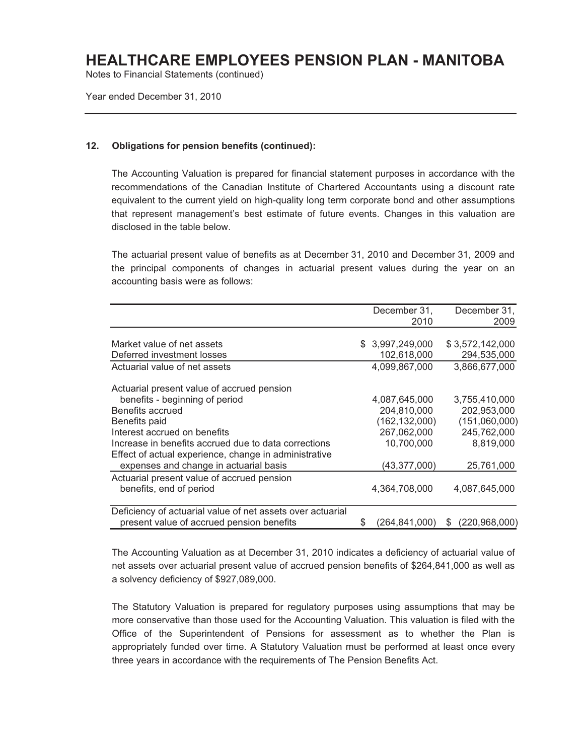Notes to Financial Statements (continued)

Year ended December 31, 2010

### **12. Obligations for pension benefits (continued):**

The Accounting Valuation is prepared for financial statement purposes in accordance with the recommendations of the Canadian Institute of Chartered Accountants using a discount rate equivalent to the current yield on high-quality long term corporate bond and other assumptions that represent management's best estimate of future events. Changes in this valuation are disclosed in the table below.

The actuarial present value of benefits as at December 31, 2010 and December 31, 2009 and the principal components of changes in actuarial present values during the year on an accounting basis were as follows:

|                                                            |   | December 31,    | December 31,      |
|------------------------------------------------------------|---|-----------------|-------------------|
|                                                            |   | 2010            | 2009              |
|                                                            |   |                 |                   |
| Market value of net assets                                 |   | \$3,997,249,000 | \$3,572,142,000   |
| Deferred investment losses                                 |   | 102,618,000     | 294,535,000       |
| Actuarial value of net assets                              |   | 4,099,867,000   | 3,866,677,000     |
|                                                            |   |                 |                   |
| Actuarial present value of accrued pension                 |   |                 |                   |
| benefits - beginning of period                             |   | 4,087,645,000   | 3,755,410,000     |
| Benefits accrued                                           |   | 204,810,000     | 202,953,000       |
| Benefits paid                                              |   | (162, 132, 000) | (151,060,000)     |
| Interest accrued on benefits                               |   | 267,062,000     | 245,762,000       |
| Increase in benefits accrued due to data corrections       |   | 10,700,000      | 8,819,000         |
| Effect of actual experience, change in administrative      |   |                 |                   |
| expenses and change in actuarial basis                     |   | (43,377,000)    | 25,761,000        |
| Actuarial present value of accrued pension                 |   |                 |                   |
| benefits, end of period                                    |   | 4,364,708,000   | 4,087,645,000     |
|                                                            |   |                 |                   |
| Deficiency of actuarial value of net assets over actuarial |   |                 |                   |
| present value of accrued pension benefits                  | S | (264,841,000)   | S<br>(220,968,000 |

The Accounting Valuation as at December 31, 2010 indicates a deficiency of actuarial value of net assets over actuarial present value of accrued pension benefits of \$264,841,000 as well as a solvency deficiency of \$927,089,000.

The Statutory Valuation is prepared for regulatory purposes using assumptions that may be more conservative than those used for the Accounting Valuation. This valuation is filed with the Office of the Superintendent of Pensions for assessment as to whether the Plan is appropriately funded over time. A Statutory Valuation must be performed at least once every three years in accordance with the requirements of The Pension Benefits Act.